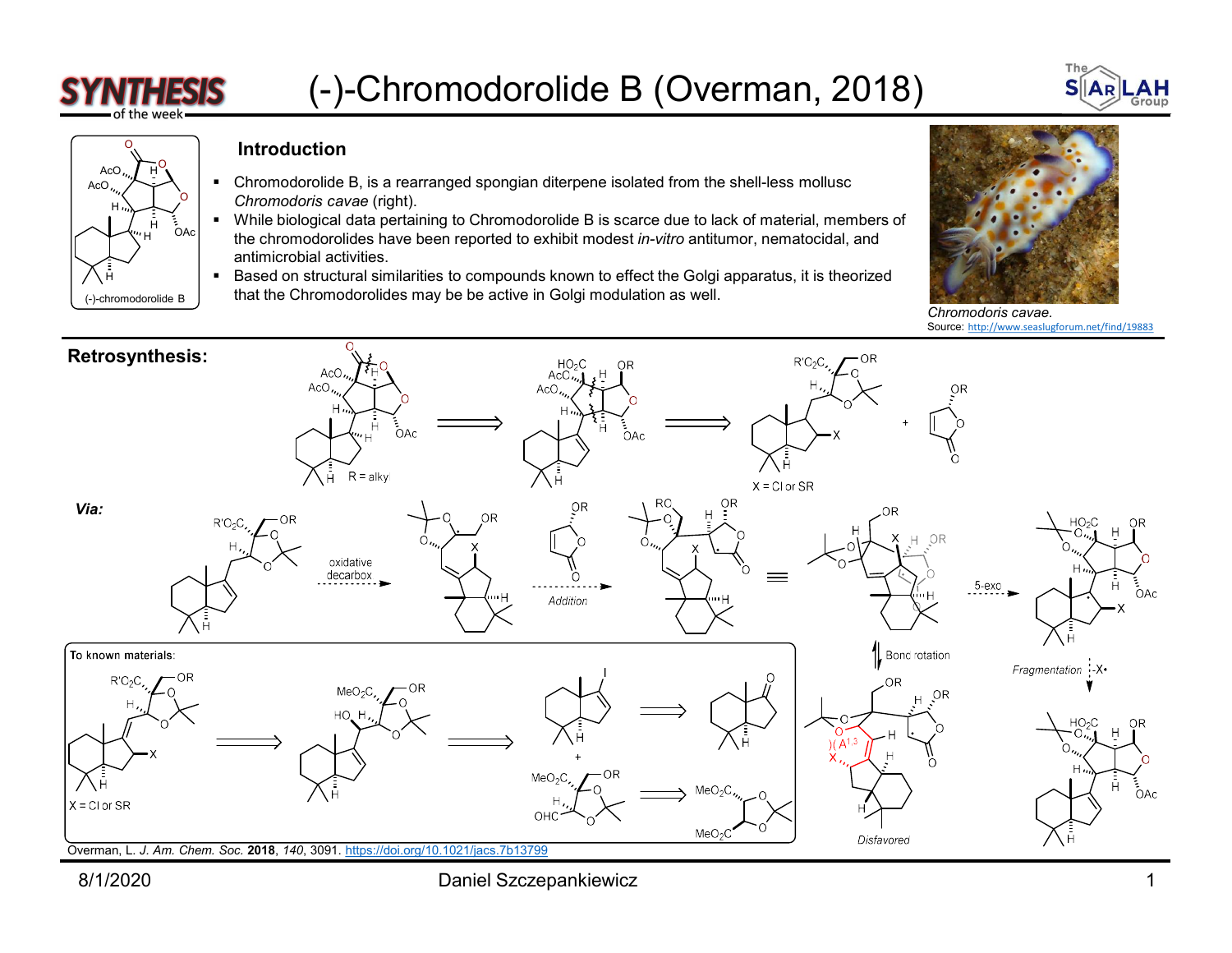





## $\alpha$  introduction in the control of  $\alpha$  is the control of  $\alpha$

- $\mathbb{E}[\bigcup_{n=1}^{\infty} 0]$  Chromodoris cavae (right). AcO,  $\int$  H  $\sim$  $_{\text{AcO}_{\text{A}}}\nearrow$   $\rightarrow$   $\rightarrow$  Unromodorolide B, is a rearranged spo  $H^{\vee}$  and  $H^{\vee}$  are the set of  $H^{\vee}$
- $H^{\text{H}}$  o<sup>OAc</sup> the chromodorolides have been reported While biological data pertaining to Chromodorolide B is scarce due to lack of material, members of Chromodorolide B (Overman, 2018)<br>
Introduction<br>
Chromodorolide B, is a rearranged spongian diterpene isolated from the shell-less mollusc<br>
Chromodoris cavae (right).<br>
While biological data pertaining to Chromodorolide B is Chromodorolide B (Overman, 2018)<br>
Introduction<br>
Chromodorolide B, is a rearranged spongian diterpene isolated from the shell-less mollusc<br>
Chromodorolide B, is a rearranged spongian diterpene isolated from the shell-less (-)-Chromodorolide B (Overman, 2018)<br>
Introduction<br>
Chromodorolide B, is a rearranged spongian diterpene isolated from the shell-less mollusc<br>
Chromodorolides have been reported to exhibit modest *in-vitro* antitumor, nem antimicrobial activities.
- H Based on structural similarities to compounds known to effect the Golgi apparatus, it is theorized  $_{(-\text{chromodorolide B})}$  that the Chromodorolides may be be active in Golgi modulation as well.



Source: http://www.seaslugforum.net/find/19883

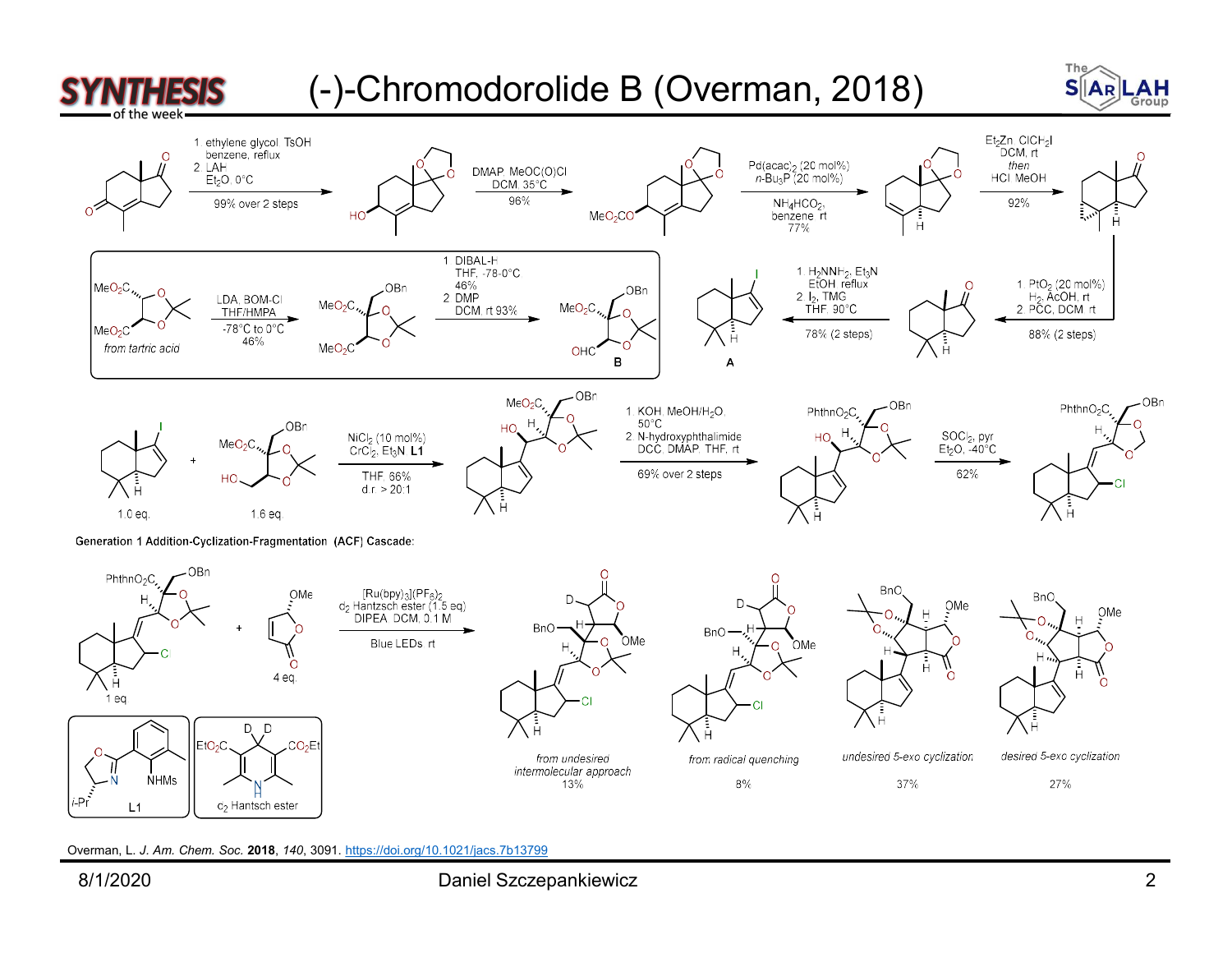

Overman, L. J. Am. Chem. Soc. 2018, 140, 3091. https://doi.org/10.1021/jacs.7b13799